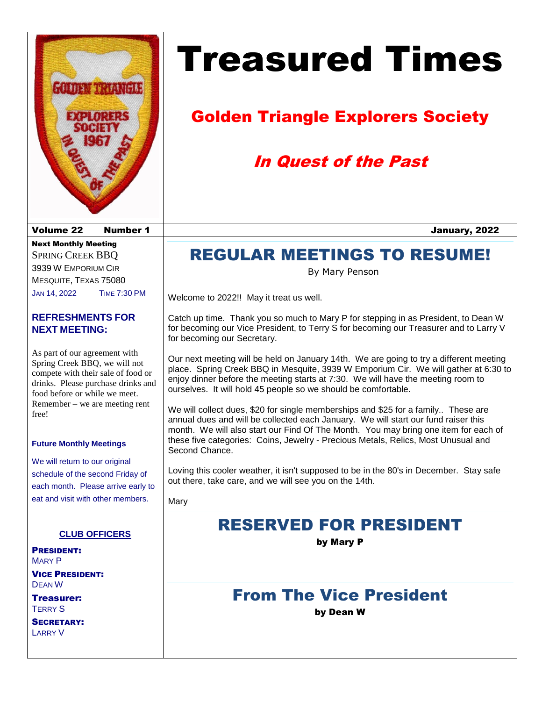

# Treasured Times

# Golden Triangle Explorers Society

# In Quest of the Past

### Volume 22 Number 1 January, 2022

Next Monthly Meeting SPRING CREEK BBQ 3939 W EMPORIUM CIR MESQUITE, TEXAS 75080 JAN 14, 2022 TIME 7:30 PM

#### **REFRESHMENTS FOR NEXT MEETING:**

As part of our agreement with Spring Creek BBQ, we will not compete with their sale of food or drinks. Please purchase drinks and food before or while we meet. Remember – we are meeting rent free!

#### **Future Monthly Meetings**

We will return to our original schedule of the second Friday of each month. Please arrive early to eat and visit with other members.

#### **CLUB OFFICERS**

PRESIDENT: MARY P

VICE PRESIDENT: DEAN W

Treasurer: TERRY S

SECRETARY: LARRY V

# REGULAR MEETINGS TO RESUME!

By Mary Penson

Welcome to 2022!! May it treat us well.

Catch up time. Thank you so much to Mary P for stepping in as President, to Dean W for becoming our Vice President, to Terry S for becoming our Treasurer and to Larry V for becoming our Secretary.

Our next meeting will be held on January 14th. We are going to try a different meeting place. Spring Creek BBQ in Mesquite, 3939 W Emporium Cir. We will gather at 6:30 to enjoy dinner before the meeting starts at 7:30. We will have the meeting room to ourselves. It will hold 45 people so we should be comfortable.

We will collect dues, \$20 for single memberships and \$25 for a family.. These are annual dues and will be collected each January. We will start our fund raiser this month. We will also start our Find Of The Month. You may bring one item for each of these five categories: Coins, Jewelry - Precious Metals, Relics, Most Unusual and Second Chance.

Loving this cooler weather, it isn't supposed to be in the 80's in December. Stay safe out there, take care, and we will see you on the 14th.

Mary

### RESERVED FOR PRESIDENT

by Mary P

### From The Vice President

by Dean W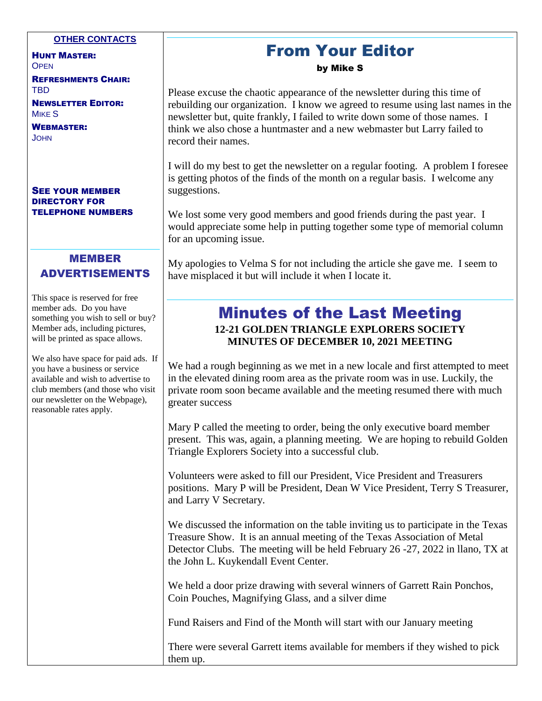#### **OTHER CONTACTS**

HUNT MASTER: **OPEN** REFRESHMENTS CHAIR:

TBD

NEWSLETTER EDITOR: **MIKE S** 

WEBMASTER: **JOHN** 

#### SEE YOUR MEMBER DIRECTORY FOR TELEPHONE NUMBERS

### MEMBER ADVERTISEMENTS

This space is reserved for free member ads. Do you have something you wish to sell or buy? Member ads, including pictures, will be printed as space allows.

We also have space for paid ads. If you have a business or service available and wish to advertise to club members (and those who visit our newsletter on the Webpage), reasonable rates apply.

### From Your Editor

#### by Mike S

Please excuse the chaotic appearance of the newsletter during this time of rebuilding our organization. I know we agreed to resume using last names in the newsletter but, quite frankly, I failed to write down some of those names. I think we also chose a huntmaster and a new webmaster but Larry failed to record their names.

I will do my best to get the newsletter on a regular footing. A problem I foresee is getting photos of the finds of the month on a regular basis. I welcome any suggestions.

We lost some very good members and good friends during the past year. I would appreciate some help in putting together some type of memorial column for an upcoming issue.

My apologies to Velma S for not including the article she gave me. I seem to have misplaced it but will include it when I locate it.

### Minutes of the Last Meeting **12-21 GOLDEN TRIANGLE EXPLORERS SOCIETY MINUTES OF DECEMBER 10, 2021 MEETING**

We had a rough beginning as we met in a new locale and first attempted to meet in the elevated dining room area as the private room was in use. Luckily, the private room soon became available and the meeting resumed there with much greater success

Mary P called the meeting to order, being the only executive board member present. This was, again, a planning meeting. We are hoping to rebuild Golden Triangle Explorers Society into a successful club.

Volunteers were asked to fill our President, Vice President and Treasurers positions. Mary P will be President, Dean W Vice President, Terry S Treasurer, and Larry V Secretary.

We discussed the information on the table inviting us to participate in the Texas Treasure Show. It is an annual meeting of the Texas Association of Metal Detector Clubs. The meeting will be held February 26 -27, 2022 in llano, TX at the John L. Kuykendall Event Center.

We held a door prize drawing with several winners of Garrett Rain Ponchos, Coin Pouches, Magnifying Glass, and a silver dime

Fund Raisers and Find of the Month will start with our January meeting

There were several Garrett items available for members if they wished to pick them up.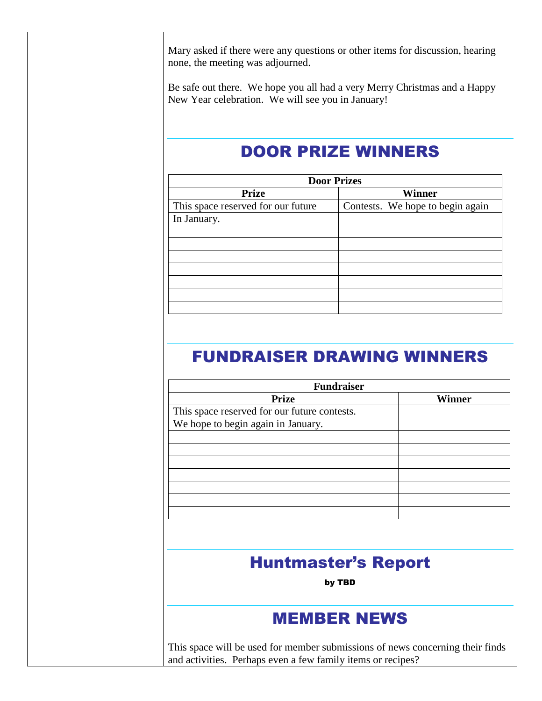Mary asked if there were any questions or other items for discussion, hearing none, the meeting was adjourned.

Be safe out there. We hope you all had a very Merry Christmas and a Happy New Year celebration. We will see you in January!

### DOOR PRIZE WINNERS

| <b>Door Prizes</b>               |  |  |  |
|----------------------------------|--|--|--|
| Winner                           |  |  |  |
| Contests. We hope to begin again |  |  |  |
|                                  |  |  |  |
|                                  |  |  |  |
|                                  |  |  |  |
|                                  |  |  |  |
|                                  |  |  |  |
|                                  |  |  |  |
|                                  |  |  |  |
|                                  |  |  |  |
|                                  |  |  |  |

### FUNDRAISER DRAWING WINNERS

| <b>Fundraiser</b>                                                             |               |
|-------------------------------------------------------------------------------|---------------|
| <b>Prize</b>                                                                  | <b>Winner</b> |
| This space reserved for our future contests.                                  |               |
| We hope to begin again in January.                                            |               |
|                                                                               |               |
|                                                                               |               |
|                                                                               |               |
|                                                                               |               |
|                                                                               |               |
|                                                                               |               |
|                                                                               |               |
|                                                                               |               |
| <b>Huntmaster's Report</b>                                                    |               |
| by TBD                                                                        |               |
|                                                                               |               |
| <b>MEMBER NEWS</b>                                                            |               |
|                                                                               |               |
| This space will be used for member submissions of news concerning their finds |               |

and activities. Perhaps even a few family items or recipes?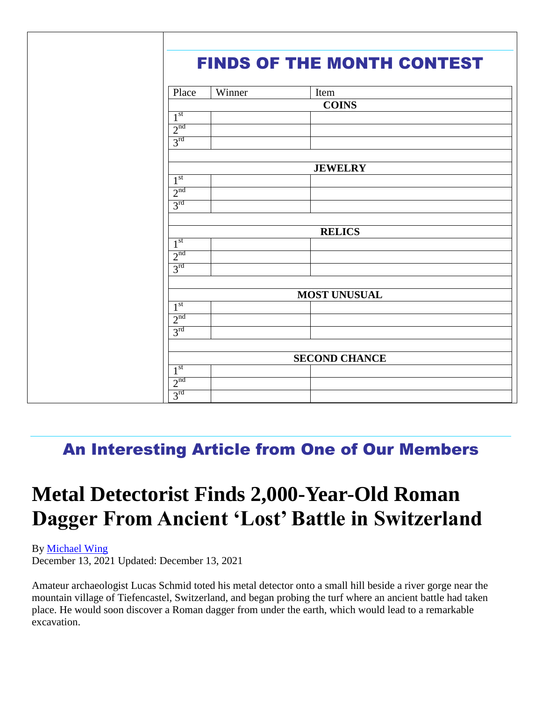|  |                                         |        | <b>FINDS OF THE MONTH CONTEST</b> |  |
|--|-----------------------------------------|--------|-----------------------------------|--|
|  |                                         |        |                                   |  |
|  | Place                                   | Winner | Item                              |  |
|  |                                         |        | <b>COINS</b>                      |  |
|  | 1 <sup>st</sup>                         |        |                                   |  |
|  | 2 <sup>nd</sup>                         |        |                                   |  |
|  | 3 <sup>rd</sup>                         |        |                                   |  |
|  |                                         |        |                                   |  |
|  | <b>JEWELRY</b>                          |        |                                   |  |
|  | 1 <sup>st</sup>                         |        |                                   |  |
|  | 2 <sup>nd</sup>                         |        |                                   |  |
|  | 3 <sup>rd</sup>                         |        |                                   |  |
|  |                                         |        |                                   |  |
|  |                                         |        | <b>RELICS</b>                     |  |
|  | 1 <sup>st</sup>                         |        |                                   |  |
|  | 2 <sup>nd</sup>                         |        |                                   |  |
|  | 3 <sup>rd</sup>                         |        |                                   |  |
|  |                                         |        |                                   |  |
|  | <b>MOST UNUSUAL</b><br>1 <sup>st</sup>  |        |                                   |  |
|  | 2 <sup>nd</sup>                         |        |                                   |  |
|  | 3 <sup>rd</sup>                         |        |                                   |  |
|  |                                         |        |                                   |  |
|  | <b>SECOND CHANCE</b><br>1 <sup>st</sup> |        |                                   |  |
|  |                                         |        |                                   |  |
|  | 2 <sup>nd</sup>                         |        |                                   |  |
|  | 3 <sup>rd</sup>                         |        |                                   |  |
|  |                                         |        |                                   |  |

## An Interesting Article from One of Our Members

# **Metal Detectorist Finds 2,000-Year-Old Roman Dagger From Ancient 'Lost' Battle in Switzerland**

By [Michael Wing](https://www.theepochtimes.com/author-michael-wing)

December 13, 2021 Updated: December 13, 2021

Amateur archaeologist Lucas Schmid toted his metal detector onto a small hill beside a river gorge near the mountain village of Tiefencastel, Switzerland, and began probing the turf where an ancient battle had taken place. He would soon discover a Roman dagger from under the earth, which would lead to a remarkable excavation.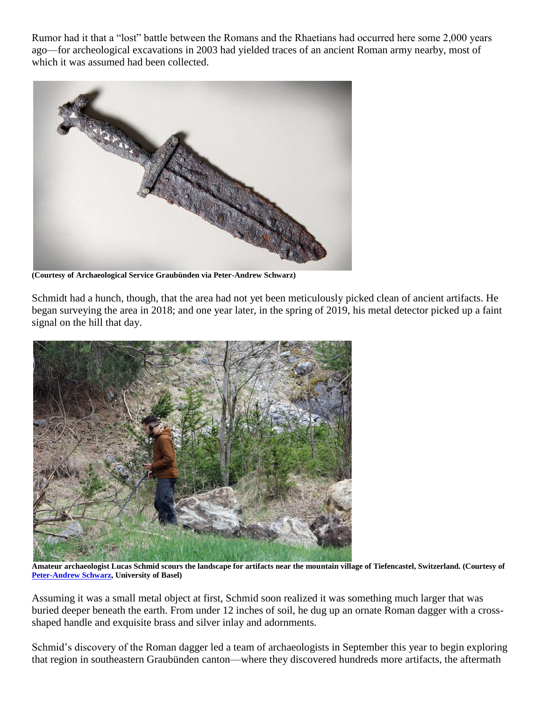Rumor had it that a "lost" battle between the Romans and the Rhaetians had occurred here some 2,000 years ago—for archeological excavations in 2003 had yielded traces of an ancient Roman army nearby, most of which it was assumed had been collected.



**(Courtesy of Archaeological Service Graubünden via Peter-Andrew Schwarz)** 

Schmidt had a hunch, though, that the area had not yet been meticulously picked clean of ancient artifacts. He began surveying the area in 2018; and one year later, in the spring of 2019, his metal detector picked up a faint signal on the hill that day.



**Amateur archaeologist Lucas Schmid scours the landscape for artifacts near the mountain village of Tiefencastel, Switzerland. (Courtesy of [Peter-Andrew Schwarz,](https://www.gr.ch/DE/Medien/Mitteilungen/MMStaka/2021/Seiten/2021090701.aspx) University of Basel)** 

Assuming it was a small metal object at first, Schmid soon realized it was something much larger that was buried deeper beneath the earth. From under 12 inches of soil, he dug up an ornate Roman dagger with a crossshaped handle and exquisite brass and silver inlay and adornments.

Schmid's discovery of the Roman dagger led a team of archaeologists in September this year to begin exploring that region in southeastern Graubünden canton—where they discovered hundreds more artifacts, the aftermath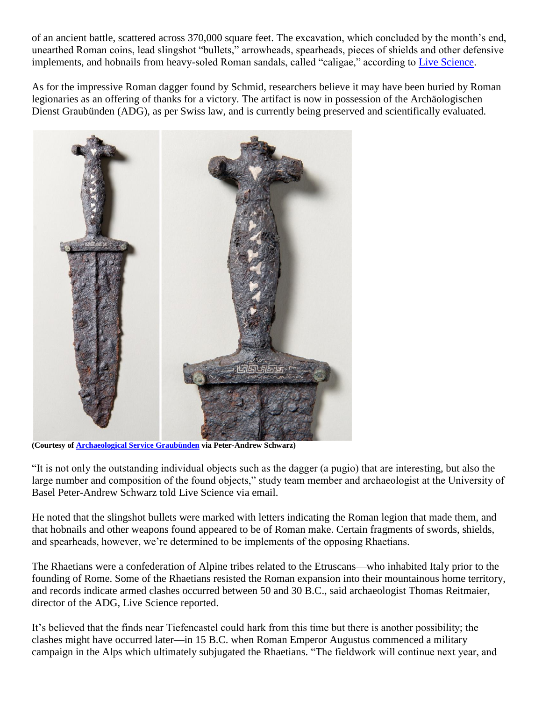of an ancient battle, scattered across 370,000 square feet. The excavation, which concluded by the month's end, unearthed Roman coins, lead slingshot "bullets," arrowheads, spearheads, pieces of shields and other defensive implements, and hobnails from heavy-soled Roman sandals, called "caligae," according to [Live Science.](https://www.livescience.com/metal-detectorist-finds-dagger-ancient-roman-battle)

As for the impressive Roman dagger found by Schmid, researchers believe it may have been buried by Roman legionaries as an offering of thanks for a victory. The artifact is now in possession of the Archäologischen Dienst Graubünden (ADG), as per Swiss law, and is currently being preserved and scientifically evaluated.



**(Courtesy of [Archaeological Service Graubünden](https://www.gr.ch/DE/Medien/Mitteilungen/MMStaka/2021/Seiten/2021090701.aspx) via Peter-Andrew Schwarz)** 

"It is not only the outstanding individual objects such as the dagger (a pugio) that are interesting, but also the large number and composition of the found objects," study team member and archaeologist at the University of Basel Peter-Andrew Schwarz told Live Science via email.

He noted that the slingshot bullets were marked with letters indicating the Roman legion that made them, and that hobnails and other weapons found appeared to be of Roman make. Certain fragments of swords, shields, and spearheads, however, we're determined to be implements of the opposing Rhaetians.

The Rhaetians were a confederation of Alpine tribes related to the Etruscans—who inhabited Italy prior to the founding of Rome. Some of the Rhaetians resisted the Roman expansion into their mountainous home territory, and records indicate armed clashes occurred between 50 and 30 B.C., said archaeologist Thomas Reitmaier, director of the ADG, Live Science reported.

It's believed that the finds near Tiefencastel could hark from this time but there is another possibility; the clashes might have occurred later—in 15 B.C. when Roman Emperor Augustus commenced a military campaign in the Alps which ultimately subjugated the Rhaetians. "The fieldwork will continue next year, and